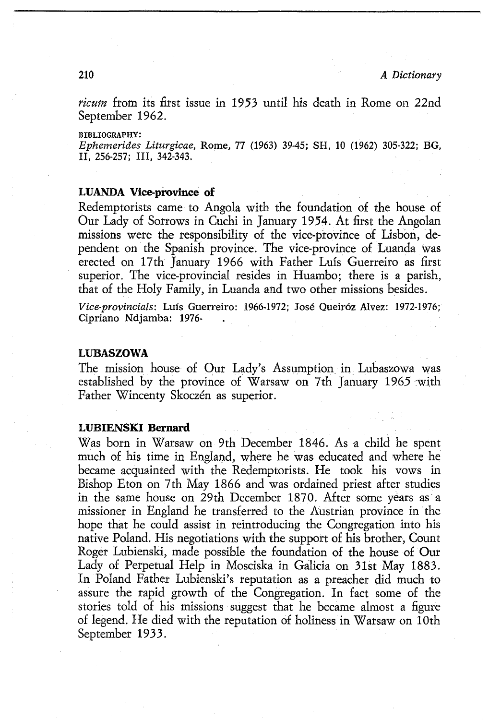## **LUBIENSKI Bernard**

Was born in Warsaw on 9th December 1846. As a child he spent much of his time in England, where he was educated and where he became acquainted with the Redemptorists. He took his vows in Bishop Eton on 7th May 1866 and was ordained priest after studies in the same house on 29th December 1870. After some years as a missioner in England he transferred to the Austrian province in the hope that he could assist in reintroducing the Congregation into his native Poland. His negotiations with the support of his brother, Count Roger Lubienski, made possible the foundation of the house of Our Lady of Perpetual Help in Mosciska in Galicia on 31st May 1883. In Poland Father Lubienski's reputation as a preacher did much to assure the rapid growth of the Congregation. In fact some of the stories told of his missions suggest that he became almost a figure of legend. He died with the reputation of holiness *in* Warsaw on 1Oth September 1933.